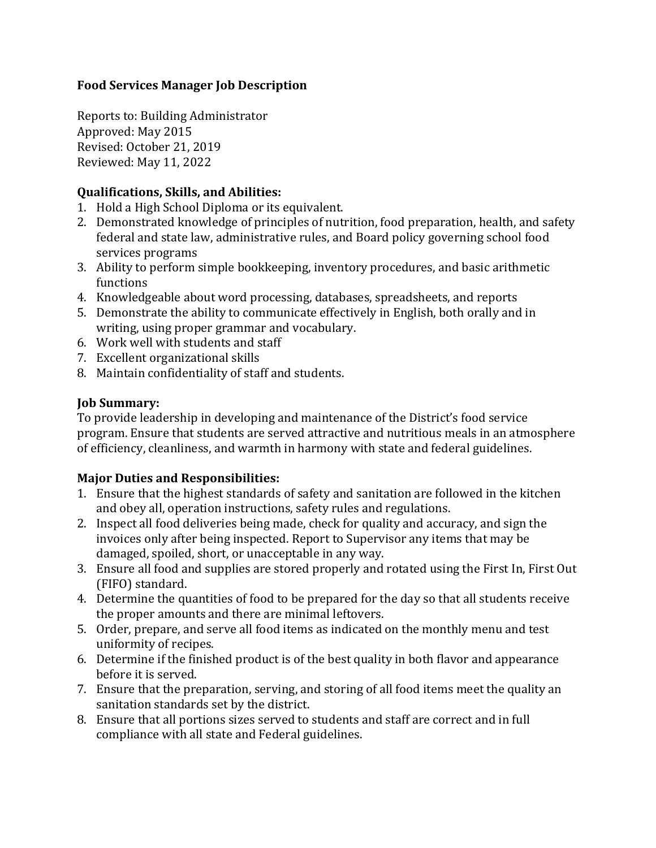## **Food Services Manager Job Description**

Reports to: Building Administrator Approved: May 2015 Revised: October 21, 2019 Reviewed: May 11, 2022

## **Qualifications, Skills, and Abilities:**

- 1. Hold a High School Diploma or its equivalent.
- 2. Demonstrated knowledge of principles of nutrition, food preparation, health, and safety federal and state law, administrative rules, and Board policy governing school food services programs
- 3. Ability to perform simple bookkeeping, inventory procedures, and basic arithmetic functions
- 4. Knowledgeable about word processing, databases, spreadsheets, and reports
- 5. Demonstrate the ability to communicate effectively in English, both orally and in writing, using proper grammar and vocabulary.
- 6. Work well with students and staff
- 7. Excellent organizational skills
- 8. Maintain confidentiality of staff and students.

## **Job Summary:**

To provide leadership in developing and maintenance of the District's food service program. Ensure that students are served attractive and nutritious meals in an atmosphere of efficiency, cleanliness, and warmth in harmony with state and federal guidelines.

# **Major Duties and Responsibilities:**

- 1. Ensure that the highest standards of safety and sanitation are followed in the kitchen and obey all, operation instructions, safety rules and regulations.
- 2. Inspect all food deliveries being made, check for quality and accuracy, and sign the invoices only after being inspected. Report to Supervisor any items that may be damaged, spoiled, short, or unacceptable in any way.
- 3. Ensure all food and supplies are stored properly and rotated using the First In, First Out (FIFO) standard.
- 4. Determine the quantities of food to be prepared for the day so that all students receive the proper amounts and there are minimal leftovers.
- 5. Order, prepare, and serve all food items as indicated on the monthly menu and test uniformity of recipes.
- 6. Determine if the finished product is of the best quality in both flavor and appearance before it is served.
- 7. Ensure that the preparation, serving, and storing of all food items meet the quality an sanitation standards set by the district.
- 8. Ensure that all portions sizes served to students and staff are correct and in full compliance with all state and Federal guidelines.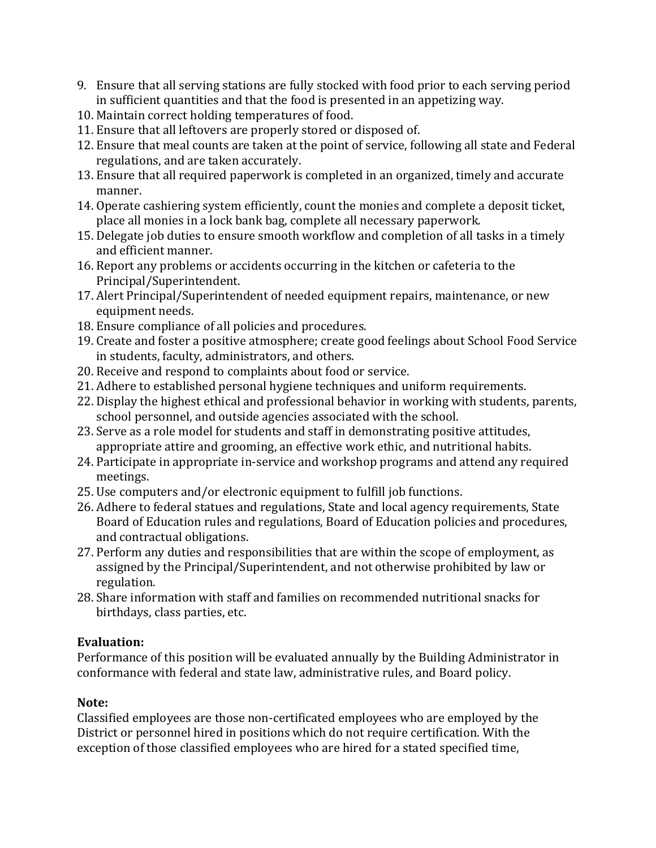- 9. Ensure that all serving stations are fully stocked with food prior to each serving period in sufficient quantities and that the food is presented in an appetizing way.
- 10. Maintain correct holding temperatures of food.
- 11. Ensure that all leftovers are properly stored or disposed of.
- 12. Ensure that meal counts are taken at the point of service, following all state and Federal regulations, and are taken accurately.
- 13. Ensure that all required paperwork is completed in an organized, timely and accurate manner.
- 14. Operate cashiering system efficiently, count the monies and complete a deposit ticket, place all monies in a lock bank bag, complete all necessary paperwork.
- 15. Delegate job duties to ensure smooth workflow and completion of all tasks in a timely and efficient manner.
- 16. Report any problems or accidents occurring in the kitchen or cafeteria to the Principal/Superintendent.
- 17. Alert Principal/Superintendent of needed equipment repairs, maintenance, or new equipment needs.
- 18. Ensure compliance of all policies and procedures.
- 19. Create and foster a positive atmosphere; create good feelings about School Food Service in students, faculty, administrators, and others.
- 20. Receive and respond to complaints about food or service.
- 21. Adhere to established personal hygiene techniques and uniform requirements.
- 22. Display the highest ethical and professional behavior in working with students, parents, school personnel, and outside agencies associated with the school.
- 23. Serve as a role model for students and staff in demonstrating positive attitudes, appropriate attire and grooming, an effective work ethic, and nutritional habits.
- 24. Participate in appropriate in-service and workshop programs and attend any required meetings.
- 25. Use computers and/or electronic equipment to fulfill job functions.
- 26. Adhere to federal statues and regulations, State and local agency requirements, State Board of Education rules and regulations, Board of Education policies and procedures, and contractual obligations.
- 27. Perform any duties and responsibilities that are within the scope of employment, as assigned by the Principal/Superintendent, and not otherwise prohibited by law or regulation.
- 28. Share information with staff and families on recommended nutritional snacks for birthdays, class parties, etc.

#### **Evaluation:**

Performance of this position will be evaluated annually by the Building Administrator in conformance with federal and state law, administrative rules, and Board policy.

# **Note:**

Classified employees are those non-certificated employees who are employed by the District or personnel hired in positions which do not require certification. With the exception of those classified employees who are hired for a stated specified time,